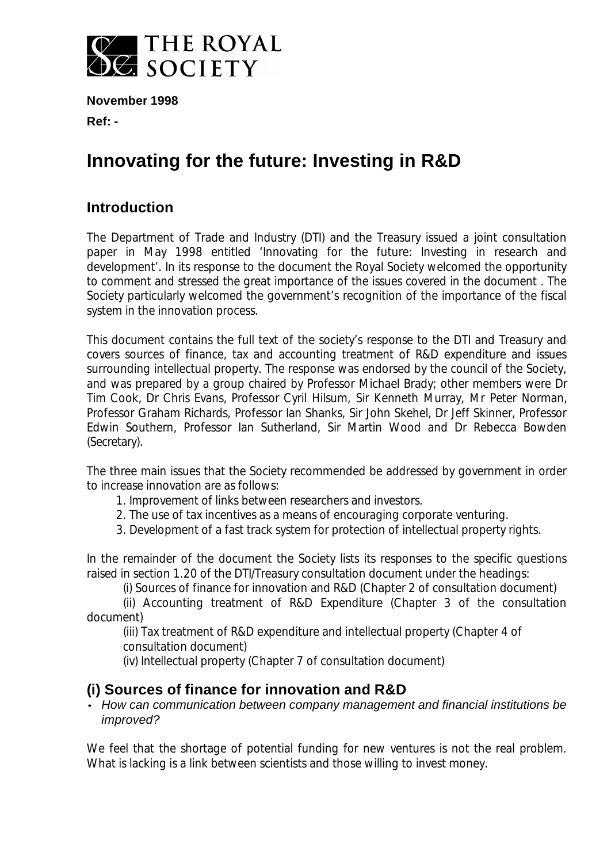

**November 1998 Ref: -**

# **Innovating for the future: Investing in R&D**

# **Introduction**

The Department of Trade and Industry (DTI) and the Treasury issued a joint consultation paper in May 1998 entitled 'Innovating for the future: Investing in research and development'. In its response to the document the Royal Society welcomed the opportunity to comment and stressed the great importance of the issues covered in the document . The Society particularly welcomed the government's recognition of the importance of the fiscal system in the innovation process.

This document contains the full text of the society's response to the DTI and Treasury and covers sources of finance, tax and accounting treatment of R&D expenditure and issues surrounding intellectual property. The response was endorsed by the council of the Society, and was prepared by a group chaired by Professor Michael Brady; other members were Dr Tim Cook, Dr Chris Evans, Professor Cyril Hilsum, Sir Kenneth Murray, Mr Peter Norman, Professor Graham Richards, Professor Ian Shanks, Sir John Skehel, Dr Jeff Skinner, Professor Edwin Southern, Professor Ian Sutherland, Sir Martin Wood and Dr Rebecca Bowden (Secretary).

The three main issues that the Society recommended be addressed by government in order to increase innovation are as follows:

1. Improvement of links between researchers and investors.

- 2. The use of tax incentives as a means of encouraging corporate venturing.
- 3. Development of a fast track system for protection of intellectual property rights.

In the remainder of the document the Society lists its responses to the specific questions raised in section 1.20 of the DTI/Treasury consultation document under the headings:

(i) Sources of finance for innovation and R&D (Chapter 2 of consultation document)

(ii) Accounting treatment of R&D Expenditure (Chapter 3 of the consultation document)

(iii) Tax treatment of R&D expenditure and intellectual property (Chapter 4 of consultation document)

(iv) Intellectual property (Chapter 7 of consultation document)

## **(i) Sources of finance for innovation and R&D**

#### *· How can communication between company management and financial institutions be improved?*

We feel that the shortage of potential funding for new ventures is not the real problem. What is lacking is a link between scientists and those willing to invest money.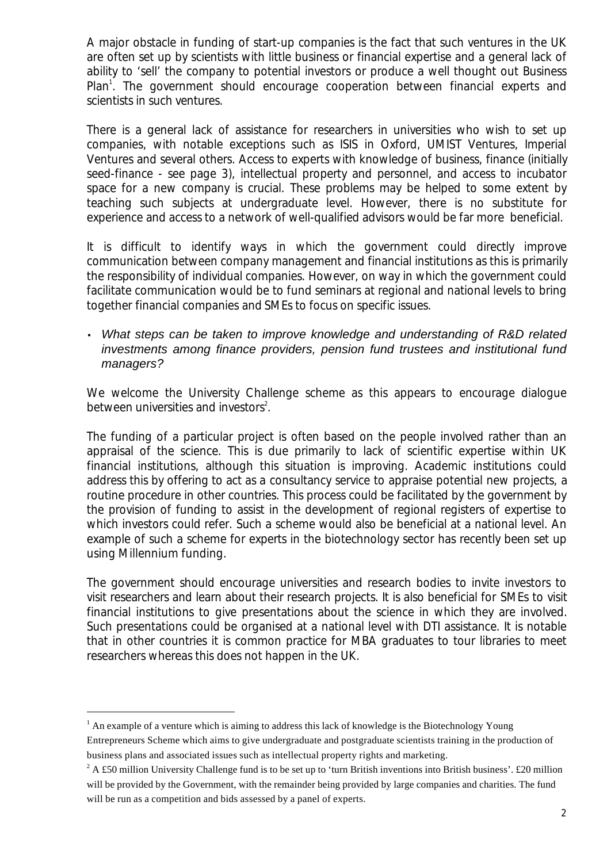A major obstacle in funding of start-up companies is the fact that such ventures in the UK are often set up by scientists with little business or financial expertise and a general lack of ability to 'sell' the company to potential investors or produce a well thought out Business Plan<sup>1</sup>. The government should encourage cooperation between financial experts and scientists in such ventures.

There is a general lack of assistance for researchers in universities who wish to set up companies, with notable exceptions such as ISIS in Oxford, UMIST Ventures, Imperial Ventures and several others. Access to experts with knowledge of business, finance (initially seed-finance - see page 3), intellectual property and personnel, and access to incubator space for a new company is crucial. These problems may be helped to some extent by teaching such subjects at undergraduate level. However, there is no substitute for experience and access to a network of well-qualified advisors would be far more beneficial.

It is difficult to identify ways in which the government could directly improve communication between company management and financial institutions as this is primarily the responsibility of individual companies. However, on way in which the government could facilitate communication would be to fund seminars at regional and national levels to bring together financial companies and SMEs to focus on specific issues.

• *What steps can be taken to improve knowledge and understanding of R&D related investments among finance providers, pension fund trustees and institutional fund managers?*

We welcome the University Challenge scheme as this appears to encourage dialogue between universities and investors<sup>2</sup>.

The funding of a particular project is often based on the people involved rather than an appraisal of the science. This is due primarily to lack of scientific expertise within UK financial institutions, although this situation is improving. Academic institutions could address this by offering to act as a consultancy service to appraise potential new projects, a routine procedure in other countries. This process could be facilitated by the government by the provision of funding to assist in the development of regional registers of expertise to which investors could refer. Such a scheme would also be beneficial at a national level. An example of such a scheme for experts in the biotechnology sector has recently been set up using Millennium funding.

The government should encourage universities and research bodies to invite investors to visit researchers and learn about their research projects. It is also beneficial for SMEs to visit financial institutions to give presentations about the science in which they are involved. Such presentations could be organised at a national level with DTI assistance. It is notable that in other countries it is common practice for MBA graduates to tour libraries to meet researchers whereas this does not happen in the UK.

j

 $<sup>1</sup>$  An example of a venture which is aiming to address this lack of knowledge is the Biotechnology Young</sup> Entrepreneurs Scheme which aims to give undergraduate and postgraduate scientists training in the production of business plans and associated issues such as intellectual property rights and marketing.

<sup>&</sup>lt;sup>2</sup> A £50 million University Challenge fund is to be set up to 'turn British inventions into British business'. £20 million will be provided by the Government, with the remainder being provided by large companies and charities. The fund will be run as a competition and bids assessed by a panel of experts.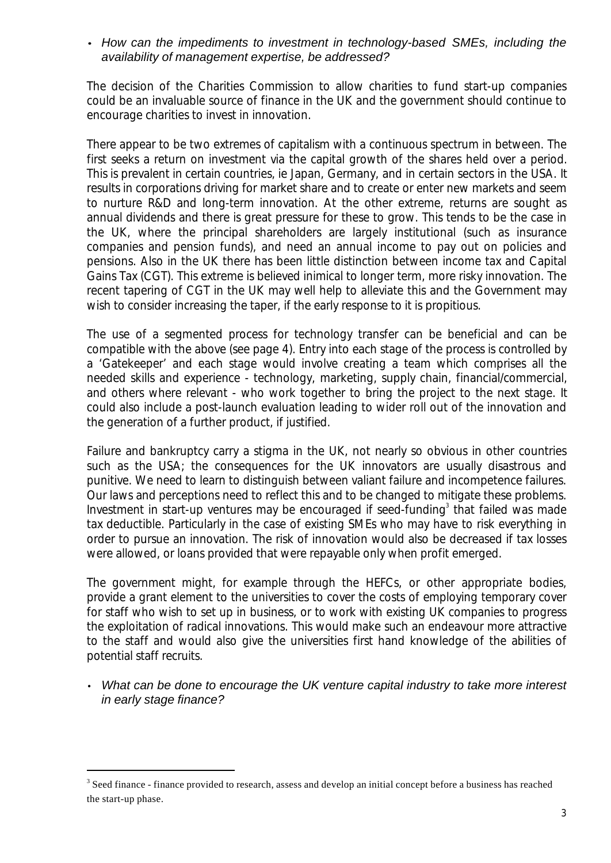#### *· How can the impediments to investment in technology-based SMEs, including the availability of management expertise, be addressed?*

The decision of the Charities Commission to allow charities to fund start-up companies could be an invaluable source of finance in the UK and the government should continue to encourage charities to invest in innovation.

There appear to be two extremes of capitalism with a continuous spectrum in between. The first seeks a return on investment via the capital growth of the shares held over a period. This is prevalent in certain countries, ie Japan, Germany, and in certain sectors in the USA. It results in corporations driving for market share and to create or enter new markets and seem to nurture R&D and long-term innovation. At the other extreme, returns are sought as annual dividends and there is great pressure for these to grow. This tends to be the case in the UK, where the principal shareholders are largely institutional (such as insurance companies and pension funds), and need an annual income to pay out on policies and pensions. Also in the UK there has been little distinction between income tax and Capital Gains Tax (CGT). This extreme is believed inimical to longer term, more risky innovation. The recent tapering of CGT in the UK may well help to alleviate this and the Government may wish to consider increasing the taper, if the early response to it is propitious.

The use of a segmented process for technology transfer can be beneficial and can be compatible with the above (see page 4). Entry into each stage of the process is controlled by a 'Gatekeeper' and each stage would involve creating a team which comprises all the needed skills and experience - technology, marketing, supply chain, financial/commercial, and others where relevant - who work together to bring the project to the next stage. It could also include a post-launch evaluation leading to wider roll out of the innovation and the generation of a further product, if justified.

Failure and bankruptcy carry a stigma in the UK, not nearly so obvious in other countries such as the USA; the consequences for the UK innovators are usually disastrous and punitive. We need to learn to distinguish between valiant failure and incompetence failures. Our laws and perceptions need to reflect this and to be changed to mitigate these problems. Investment in start-up ventures may be encouraged if seed-funding<sup>3</sup> that failed was made tax deductible. Particularly in the case of existing SMEs who may have to risk everything in order to pursue an innovation. The risk of innovation would also be decreased if tax losses were allowed, or loans provided that were repayable only when profit emerged.

The government might, for example through the HEFCs, or other appropriate bodies, provide a grant element to the universities to cover the costs of employing temporary cover for staff who wish to set up in business, or to work with existing UK companies to progress the exploitation of radical innovations. This would make such an endeavour more attractive to the staff and would also give the universities first hand knowledge of the abilities of potential staff recruits.

• *What can be done to encourage the UK venture capital industry to take more interest in early stage finance?*

j

<sup>&</sup>lt;sup>3</sup> Seed finance - finance provided to research, assess and develop an initial concept before a business has reached the start-up phase.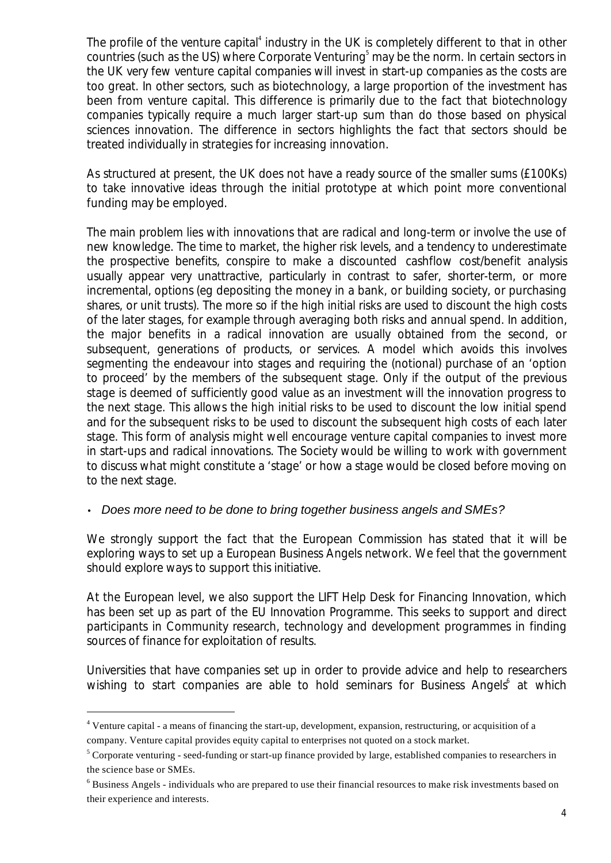The profile of the venture capital<sup>4</sup> industry in the UK is completely different to that in other countries (such as the US) where Corporate Venturing<sup>5</sup> may be the norm. In certain sectors in the UK very few venture capital companies will invest in start-up companies as the costs are too great. In other sectors, such as biotechnology, a large proportion of the investment has been from venture capital. This difference is primarily due to the fact that biotechnology companies typically require a much larger start-up sum than do those based on physical sciences innovation. The difference in sectors highlights the fact that sectors should be treated individually in strategies for increasing innovation.

As structured at present, the UK does not have a ready source of the smaller sums (£100Ks) to take innovative ideas through the initial prototype at which point more conventional funding may be employed.

The main problem lies with innovations that are radical and long-term or involve the use of new knowledge. The time to market, the higher risk levels, and a tendency to underestimate the prospective benefits, conspire to make a discounted cashflow cost/benefit analysis usually appear very unattractive, particularly in contrast to safer, shorter-term, or more incremental, options (eg depositing the money in a bank, or building society, or purchasing shares, or unit trusts). The more so if the high initial risks are used to discount the high costs of the later stages, for example through averaging both risks and annual spend. In addition, the major benefits in a radical innovation are usually obtained from the second, or subsequent, generations of products, or services. A model which avoids this involves segmenting the endeavour into stages and requiring the (notional) purchase of an 'option to proceed' by the members of the subsequent stage. Only if the output of the previous stage is deemed of sufficiently good value as an investment will the innovation progress to the next stage. This allows the high initial risks to be used to discount the low initial spend and for the subsequent risks to be used to discount the subsequent high costs of each later stage. This form of analysis might well encourage venture capital companies to invest more in start-ups and radical innovations. The Society would be willing to work with government to discuss what might constitute a 'stage' or how a stage would be closed before moving on to the next stage.

### • *Does more need to be done to bring together business angels and SMEs?*

We strongly support the fact that the European Commission has stated that it will be exploring ways to set up a European Business Angels network. We feel that the government should explore ways to support this initiative.

At the European level, we also support the LIFT Help Desk for Financing Innovation, which has been set up as part of the EU Innovation Programme. This seeks to support and direct participants in Community research, technology and development programmes in finding sources of finance for exploitation of results.

Universities that have companies set up in order to provide advice and help to researchers wishing to start companies are able to hold seminars for Business Angels<sup>6</sup> at which

j

<sup>&</sup>lt;sup>4</sup> Venture capital - a means of financing the start-up, development, expansion, restructuring, or acquisition of a company. Venture capital provides equity capital to enterprises not quoted on a stock market.

 $5$  Corporate venturing - seed-funding or start-up finance provided by large, established companies to researchers in the science base or SMEs.

<sup>&</sup>lt;sup>6</sup> Business Angels - individuals who are prepared to use their financial resources to make risk investments based on their experience and interests.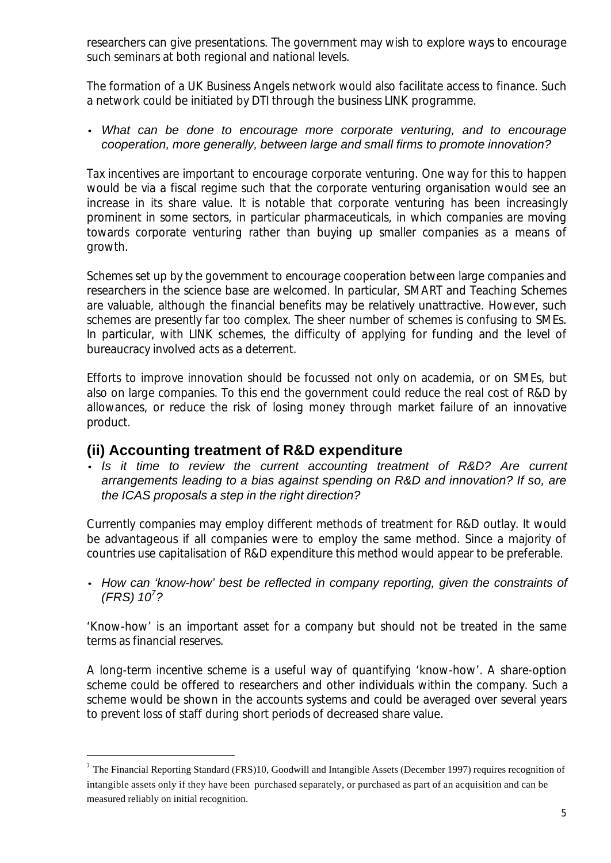researchers can give presentations. The government may wish to explore ways to encourage such seminars at both regional and national levels.

The formation of a UK Business Angels network would also facilitate access to finance. Such a network could be initiated by DTI through the business LINK programme.

#### *· What can be done to encourage more corporate venturing, and to encourage cooperation, more generally, between large and small firms to promote innovation?*

Tax incentives are important to encourage corporate venturing. One way for this to happen would be via a fiscal regime such that the corporate venturing organisation would see an increase in its share value. It is notable that corporate venturing has been increasingly prominent in some sectors, in particular pharmaceuticals, in which companies are moving towards corporate venturing rather than buying up smaller companies as a means of growth.

Schemes set up by the government to encourage cooperation between large companies and researchers in the science base are welcomed. In particular, SMART and Teaching Schemes are valuable, although the financial benefits may be relatively unattractive. However, such schemes are presently far too complex. The sheer number of schemes is confusing to SMEs. In particular, with LINK schemes, the difficulty of applying for funding and the level of bureaucracy involved acts as a deterrent.

Efforts to improve innovation should be focussed not only on academia, or on SMEs, but also on large companies. To this end the government could reduce the real cost of R&D by allowances, or reduce the risk of losing money through market failure of an innovative product.

### **(ii) Accounting treatment of R&D expenditure**

j

*· Is it time to review the current accounting treatment of R&D? Are current arrangements leading to a bias against spending on R&D and innovation? If so, are the ICAS proposals a step in the right direction?*

Currently companies may employ different methods of treatment for R&D outlay. It would be advantageous if all companies were to employ the same method. Since a majority of countries use capitalisation of R&D expenditure this method would appear to be preferable.

*· How can 'know-how' best be reflected in company reporting, given the constraints of (FRS) 10<sup>7</sup> ?*

'Know-how' is an important asset for a company but should not be treated in the same terms as financial reserves.

A long-term incentive scheme is a useful way of quantifying 'know-how'. A share-option scheme could be offered to researchers and other individuals within the company. Such a scheme would be shown in the accounts systems and could be averaged over several years to prevent loss of staff during short periods of decreased share value.

<sup>&</sup>lt;sup>7</sup> The Financial Reporting Standard (FRS)10, Goodwill and Intangible Assets (December 1997) requires recognition of intangible assets only if they have been purchased separately, or purchased as part of an acquisition and can be measured reliably on initial recognition.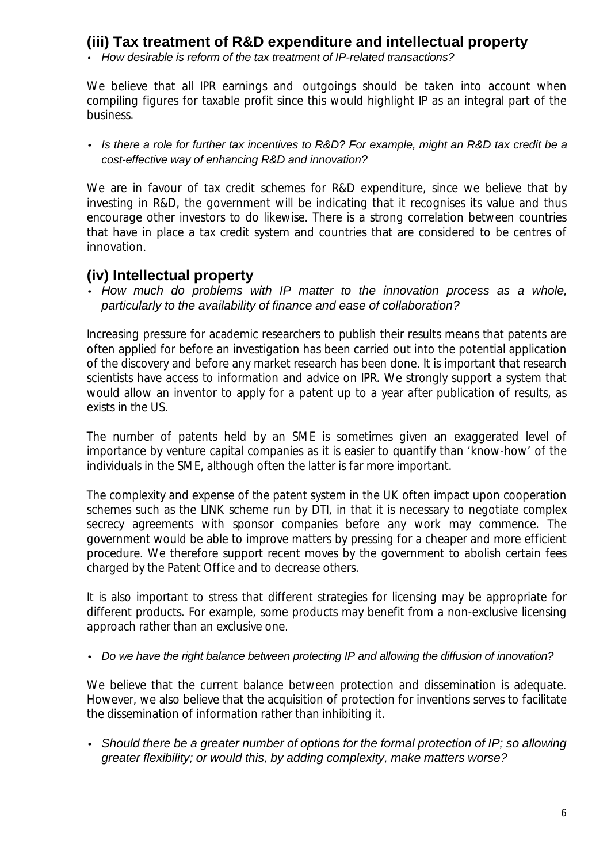# **(iii) Tax treatment of R&D expenditure and intellectual property**

• *How desirable is reform of the tax treatment of IP-related transactions?*

We believe that all IPR earnings and outgoings should be taken into account when compiling figures for taxable profit since this would highlight IP as an integral part of the business.

*· Is there a role for further tax incentives to R&D? For example, might an R&D tax credit be a cost-effective way of enhancing R&D and innovation?*

We are in favour of tax credit schemes for R&D expenditure, since we believe that by investing in R&D, the government will be indicating that it recognises its value and thus encourage other investors to do likewise. There is a strong correlation between countries that have in place a tax credit system and countries that are considered to be centres of innovation.

## **(iv) Intellectual property**

*· How much do problems with IP matter to the innovation process as a whole, particularly to the availability of finance and ease of collaboration?*

Increasing pressure for academic researchers to publish their results means that patents are often applied for before an investigation has been carried out into the potential application of the discovery and before any market research has been done. It is important that research scientists have access to information and advice on IPR. We strongly support a system that would allow an inventor to apply for a patent up to a year after publication of results, as exists in the US.

The number of patents held by an SME is sometimes given an exaggerated level of importance by venture capital companies as it is easier to quantify than 'know-how' of the individuals in the SME, although often the latter is far more important.

The complexity and expense of the patent system in the UK often impact upon cooperation schemes such as the LINK scheme run by DTI, in that it is necessary to negotiate complex secrecy agreements with sponsor companies before any work may commence. The government would be able to improve matters by pressing for a cheaper and more efficient procedure. We therefore support recent moves by the government to abolish certain fees charged by the Patent Office and to decrease others.

It is also important to stress that different strategies for licensing may be appropriate for different products. For example, some products may benefit from a non-exclusive licensing approach rather than an exclusive one.

*· Do we have the right balance between protecting IP and allowing the diffusion of innovation?*

We believe that the current balance between protection and dissemination is adequate. However, we also believe that the acquisition of protection for inventions serves to facilitate the dissemination of information rather than inhibiting it.

*· Should there be a greater number of options for the formal protection of IP; so allowing greater flexibility; or would this, by adding complexity, make matters worse?*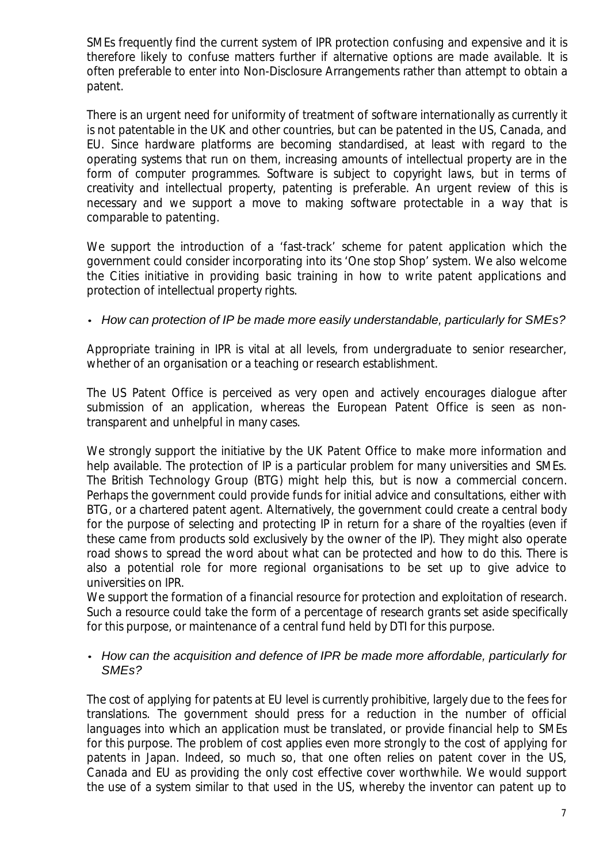SMEs frequently find the current system of IPR protection confusing and expensive and it is therefore likely to confuse matters further if alternative options are made available. It is often preferable to enter into Non-Disclosure Arrangements rather than attempt to obtain a patent.

There is an urgent need for uniformity of treatment of software internationally as currently it is not patentable in the UK and other countries, but can be patented in the US, Canada, and EU. Since hardware platforms are becoming standardised, at least with regard to the operating systems that run on them, increasing amounts of intellectual property are in the form of computer programmes. Software is subject to copyright laws, but in terms of creativity and intellectual property, patenting is preferable. An urgent review of this is necessary and we support a move to making software protectable in a way that is comparable to patenting.

We support the introduction of a 'fast-track' scheme for patent application which the government could consider incorporating into its 'One stop Shop' system. We also welcome the Cities initiative in providing basic training in how to write patent applications and protection of intellectual property rights.

### *· How can protection of IP be made more easily understandable, particularly for SMEs?*

Appropriate training in IPR is vital at all levels, from undergraduate to senior researcher, whether of an organisation or a teaching or research establishment.

The US Patent Office is perceived as very open and actively encourages dialogue after submission of an application, whereas the European Patent Office is seen as nontransparent and unhelpful in many cases.

We strongly support the initiative by the UK Patent Office to make more information and help available. The protection of IP is a particular problem for many universities and SMEs. The British Technology Group (BTG) might help this, but is now a commercial concern. Perhaps the government could provide funds for initial advice and consultations, either with BTG, or a chartered patent agent. Alternatively, the government could create a central body for the purpose of selecting and protecting IP in return for a share of the royalties (even if these came from products sold exclusively by the owner of the IP). They might also operate road shows to spread the word about what can be protected and how to do this. There is also a potential role for more regional organisations to be set up to give advice to universities on IPR.

We support the formation of a financial resource for protection and exploitation of research. Such a resource could take the form of a percentage of research grants set aside specifically for this purpose, or maintenance of a central fund held by DTI for this purpose.

#### *· How can the acquisition and defence of IPR be made more affordable, particularly for SMEs?*

The cost of applying for patents at EU level is currently prohibitive, largely due to the fees for translations. The government should press for a reduction in the number of official languages into which an application must be translated, or provide financial help to SMEs for this purpose. The problem of cost applies even more strongly to the cost of applying for patents in Japan. Indeed, so much so, that one often relies on patent cover in the US, Canada and EU as providing the only cost effective cover worthwhile. We would support the use of a system similar to that used in the US, whereby the inventor can patent up to